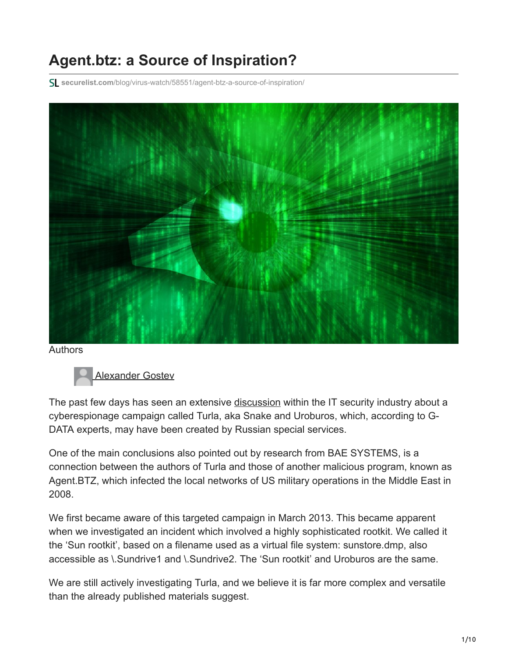# **Agent.btz: a Source of Inspiration?**

**securelist.com**[/blog/virus-watch/58551/agent-btz-a-source-of-inspiration/](https://securelist.com/blog/virus-watch/58551/agent-btz-a-source-of-inspiration/)



Authors



[Alexander Gostev](https://securelist.com/author/alexander/)

The past few days has seen an extensive [discussion](https://www.reuters.com/article/us-russia-cyberespionage-insight-idUSBREA260YI20140307) within the IT security industry about a cyberespionage campaign called Turla, aka Snake and Uroburos, which, according to G-DATA experts, may have been created by Russian special services.

One of the main conclusions also pointed out by research from BAE SYSTEMS, is a connection between the authors of Turla and those of another malicious program, known as Agent.BTZ, which infected the local networks of US military operations in the Middle East in 2008.

We first became aware of this targeted campaign in March 2013. This became apparent when we investigated an incident which involved a highly sophisticated rootkit. We called it the 'Sun rootkit', based on a filename used as a virtual file system: sunstore.dmp, also accessible as \.Sundrive1 and \.Sundrive2. The 'Sun rootkit' and Uroburos are the same.

We are still actively investigating Turla, and we believe it is far more complex and versatile than the already published materials suggest.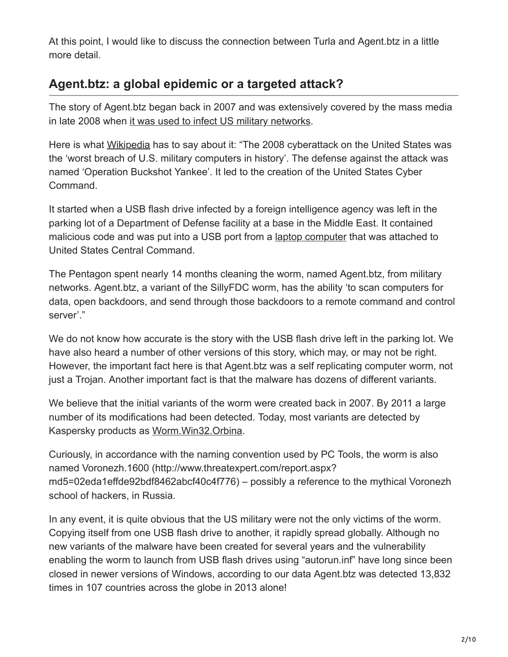At this point, I would like to discuss the connection between Turla and Agent.btz in a little more detail.

## **Agent.btz: a global epidemic or a targeted attack?**

The story of Agent.btz began back in 2007 and was extensively covered by the mass media in late 2008 when [it was used to infect US military networks](https://www.latimes.com/archives/la-xpm-2008-nov-28-na-cyberattack28-story.html).

Here is what [Wikipedia](https://en.wikipedia.org/wiki/2008_cyberattack_on_United_States) has to say about it: "The 2008 cyberattack on the United States was the 'worst breach of U.S. military computers in history'. The defense against the attack was named 'Operation Buckshot Yankee'. It led to the creation of the United States Cyber Command.

It started when a USB flash drive infected by a foreign intelligence agency was left in the parking lot of a Department of Defense facility at a base in the Middle East. It contained malicious code and was put into a USB port from a [laptop computer](https://en.wikipedia.org/wiki/Laptop_computer) that was attached to United States Central Command.

The Pentagon spent nearly 14 months cleaning the worm, named Agent.btz, from military networks. Agent.btz, a variant of the SillyFDC worm, has the ability 'to scan computers for data, open backdoors, and send through those backdoors to a remote command and control server'."

We do not know how accurate is the story with the USB flash drive left in the parking lot. We have also heard a number of other versions of this story, which may, or may not be right. However, the important fact here is that Agent.btz was a self replicating computer worm, not just a Trojan. Another important fact is that the malware has dozens of different variants.

We believe that the initial variants of the worm were created back in 2007. By 2011 a large number of its modifications had been detected. Today, most variants are detected by Kaspersky products as [Worm.Win32.Orbina](https://threats.kaspersky.com/en/threat/Worm.Win32.Orbina.a).

Curiously, in accordance with the naming convention used by PC Tools, the worm is also named Voronezh.1600 (http://www.threatexpert.com/report.aspx? md5=02eda1effde92bdf8462abcf40c4f776) – possibly a reference to the mythical Voronezh school of hackers, in Russia.

In any event, it is quite obvious that the US military were not the only victims of the worm. Copying itself from one USB flash drive to another, it rapidly spread globally. Although no new variants of the malware have been created for several years and the vulnerability enabling the worm to launch from USB flash drives using "autorun.inf" have long since been closed in newer versions of Windows, according to our data Agent.btz was detected 13,832 times in 107 countries across the globe in 2013 alone!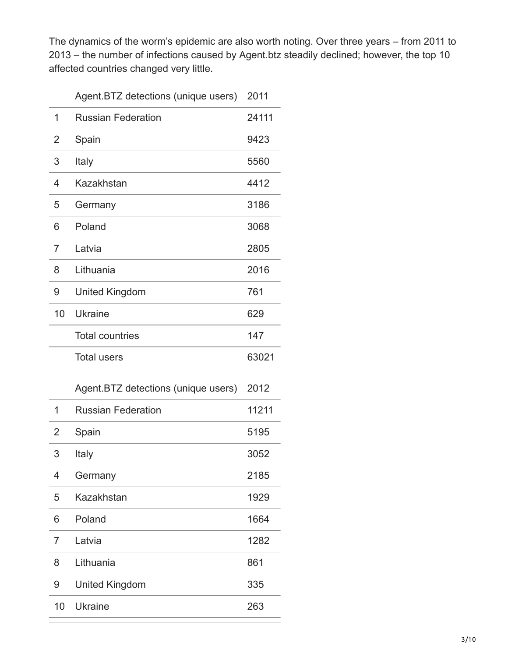The dynamics of the worm's epidemic are also worth noting. Over three years – from 2011 to 2013 – the number of infections caused by Agent.btz steadily declined; however, the top 10 affected countries changed very little.

|    | Agent.BTZ detections (unique users) | 2011  |
|----|-------------------------------------|-------|
| 1  | <b>Russian Federation</b>           | 24111 |
| 2  | Spain                               | 9423  |
| 3  | Italy                               | 5560  |
| 4  | Kazakhstan                          | 4412  |
| 5  | Germany                             | 3186  |
| 6  | Poland                              | 3068  |
| 7  | Latvia                              | 2805  |
| 8  | Lithuania                           | 2016  |
| 9  | <b>United Kingdom</b>               | 761   |
| 10 | Ukraine                             | 629   |
|    | <b>Total countries</b>              | 147   |
|    | <b>Total users</b>                  | 63021 |
|    |                                     |       |
|    | Agent.BTZ detections (unique users) | 2012  |
| 1  | <b>Russian Federation</b>           | 11211 |
| 2  | Spain                               | 5195  |
| 3  | Italy                               | 3052  |
| 4  | Germany                             | 2185  |
| 5  | Kazakhstan                          | 1929  |
| 6  | Poland                              | 1664  |
| 7  | Latvia                              | 1282  |
| 8  | Lithuania                           | 861   |
| 9  | <b>United Kingdom</b>               | 335   |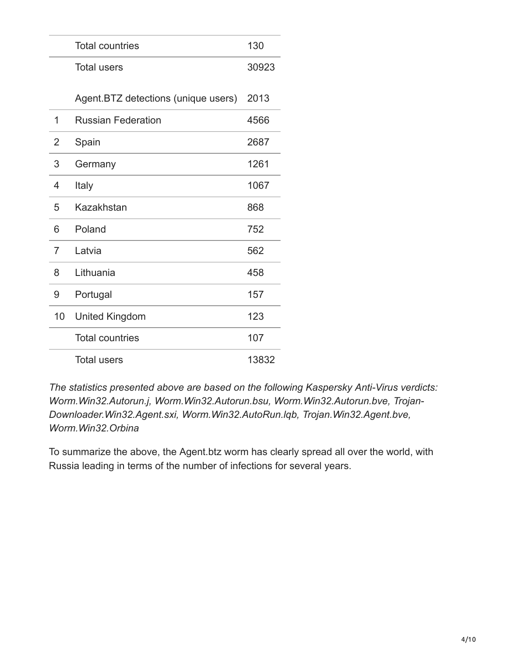|                | <b>Total countries</b>              | 130   |
|----------------|-------------------------------------|-------|
|                | <b>Total users</b>                  | 30923 |
|                | Agent.BTZ detections (unique users) | 2013  |
| 1              | <b>Russian Federation</b>           | 4566  |
| 2              | Spain                               | 2687  |
| 3              | Germany                             | 1261  |
| 4              | Italy                               | 1067  |
| 5              | Kazakhstan                          | 868   |
| 6              | Poland                              | 752   |
| $\overline{7}$ | Latvia                              | 562   |
| 8              | Lithuania                           | 458   |
| 9              | Portugal                            | 157   |
| 10             | <b>United Kingdom</b>               | 123   |
|                | <b>Total countries</b>              | 107   |
|                | <b>Total users</b>                  | 13832 |

*The statistics presented above are based on the following Kaspersky Anti-Virus verdicts: Worm.Win32.Autorun.j, Worm.Win32.Autorun.bsu, Worm.Win32.Autorun.bve, Trojan-Downloader.Win32.Agent.sxi, Worm.Win32.AutoRun.lqb, Trojan.Win32.Agent.bve, Worm.Win32.Orbina*

To summarize the above, the Agent.btz worm has clearly spread all over the world, with Russia leading in terms of the number of infections for several years.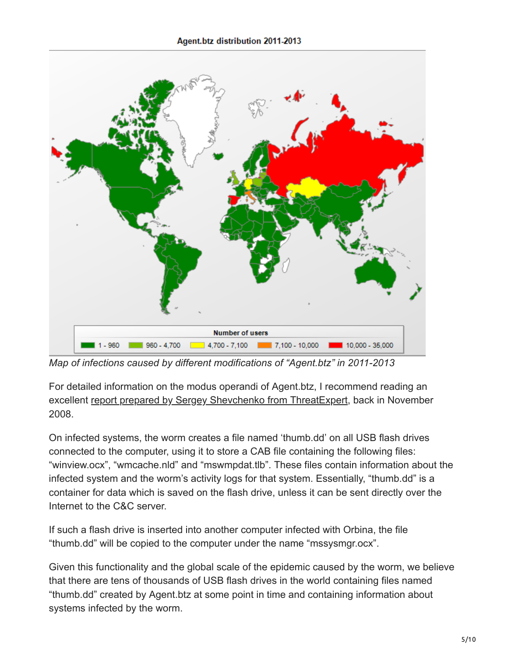

*Map of infections caused by different modifications of "Agent.btz" in 2011-2013*

For detailed information on the modus operandi of Agent.btz, I recommend reading an excellent report prepared by Sergey Shevchenko from Threat Expert, back in November 2008.

On infected systems, the worm creates a file named 'thumb.dd' on all USB flash drives connected to the computer, using it to store a CAB file containing the following files: "winview.ocx", "wmcache.nld" and "mswmpdat.tlb". These files contain information about the infected system and the worm's activity logs for that system. Essentially, "thumb.dd" is a container for data which is saved on the flash drive, unless it can be sent directly over the Internet to the C&C server.

If such a flash drive is inserted into another computer infected with Orbina, the file "thumb.dd" will be copied to the computer under the name "mssysmgr.ocx".

Given this functionality and the global scale of the epidemic caused by the worm, we believe that there are tens of thousands of USB flash drives in the world containing files named "thumb.dd" created by Agent.btz at some point in time and containing information about systems infected by the worm.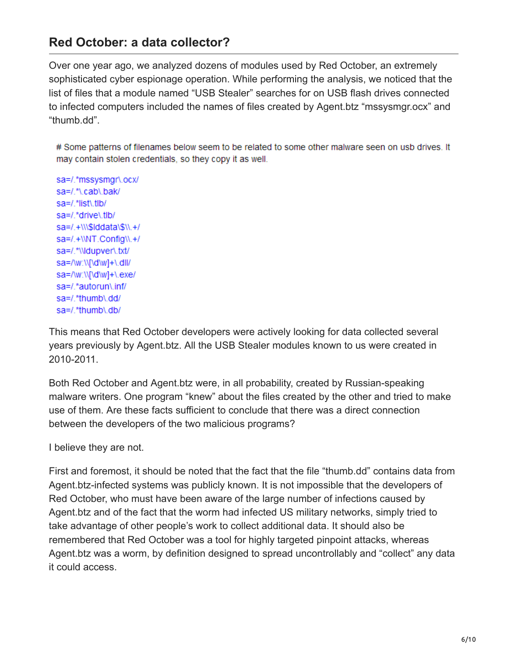#### **Red October: a data collector?**

Over one year ago, we analyzed dozens of modules used by Red October, an extremely sophisticated cyber espionage operation. While performing the analysis, we noticed that the list of files that a module named "USB Stealer" searches for on USB flash drives connected to infected computers included the names of files created by Agent.btz "mssysmgr.ocx" and "thumb.dd".

# Some patterns of filenames below seem to be related to some other malware seen on usb drives. It may contain stolen credentials, so they copy it as well.

sa=/.\*mssysmgr\.ocx/ sa=/.\*\.cab\.bak/ sa=/.\*list\.tlb/ sa=/.\*drive\.tlb/ sa=/.+\\\\$lddata\\$\\.+/ sa=/.+\\NT.Config\\.+/ sa=/.\*\\ldupver\.txt/ sa=/\w:\\[\d\w]+\.dll/ sa=/w:\\[\d\w]+\.exe/ sa=/.\*autorun\.inf/ sa=/.\*thumb\.dd/ sa=/.\*thumb\.db/

This means that Red October developers were actively looking for data collected several years previously by Agent.btz. All the USB Stealer modules known to us were created in 2010-2011.

Both Red October and Agent.btz were, in all probability, created by Russian-speaking malware writers. One program "knew" about the files created by the other and tried to make use of them. Are these facts sufficient to conclude that there was a direct connection between the developers of the two malicious programs?

I believe they are not.

First and foremost, it should be noted that the fact that the file "thumb.dd" contains data from Agent.btz-infected systems was publicly known. It is not impossible that the developers of Red October, who must have been aware of the large number of infections caused by Agent.btz and of the fact that the worm had infected US military networks, simply tried to take advantage of other people's work to collect additional data. It should also be remembered that Red October was a tool for highly targeted pinpoint attacks, whereas Agent.btz was a worm, by definition designed to spread uncontrollably and "collect" any data it could access.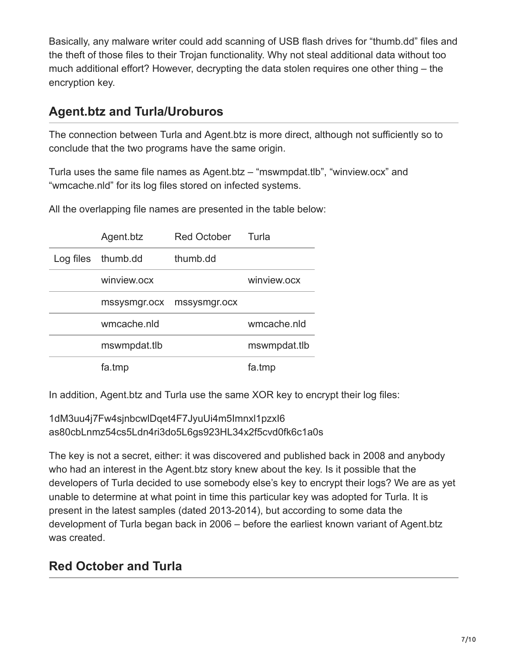Basically, any malware writer could add scanning of USB flash drives for "thumb.dd" files and the theft of those files to their Trojan functionality. Why not steal additional data without too much additional effort? However, decrypting the data stolen requires one other thing – the encryption key.

#### **Agent.btz and Turla/Uroburos**

The connection between Turla and Agent.btz is more direct, although not sufficiently so to conclude that the two programs have the same origin.

Turla uses the same file names as Agent.btz – "mswmpdat.tlb", "winview.ocx" and "wmcache.nld" for its log files stored on infected systems.

Agent.btz Red October Turla Log files thumb.dd thumb.dd winview.ocx winview.ocx mssysmgr.ocx mssysmgr.ocx wmcache.nld wmcache.nld mswmpdat.tlb mswmpdat.tlb fa.tmp fa.tmp

All the overlapping file names are presented in the table below:

In addition, Agent.btz and Turla use the same XOR key to encrypt their log files:

1dM3uu4j7Fw4sjnbcwlDqet4F7JyuUi4m5Imnxl1pzxI6 as80cbLnmz54cs5Ldn4ri3do5L6gs923HL34x2f5cvd0fk6c1a0s

The key is not a secret, either: it was discovered and published back in 2008 and anybody who had an interest in the Agent.btz story knew about the key. Is it possible that the developers of Turla decided to use somebody else's key to encrypt their logs? We are as yet unable to determine at what point in time this particular key was adopted for Turla. It is present in the latest samples (dated 2013-2014), but according to some data the development of Turla began back in 2006 – before the earliest known variant of Agent.btz was created.

## **Red October and Turla**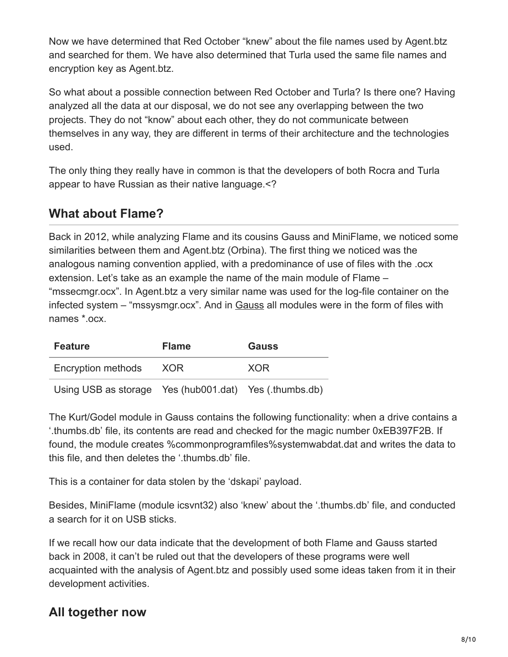Now we have determined that Red October "knew" about the file names used by Agent.btz and searched for them. We have also determined that Turla used the same file names and encryption key as Agent.btz.

So what about a possible connection between Red October and Turla? Is there one? Having analyzed all the data at our disposal, we do not see any overlapping between the two projects. They do not "know" about each other, they do not communicate between themselves in any way, they are different in terms of their architecture and the technologies used.

The only thing they really have in common is that the developers of both Rocra and Turla appear to have Russian as their native language.<?

#### **What about Flame?**

Back in 2012, while analyzing Flame and its cousins Gauss and MiniFlame, we noticed some similarities between them and Agent.btz (Orbina). The first thing we noticed was the analogous naming convention applied, with a predominance of use of files with the .ocx extension. Let's take as an example the name of the main module of Flame – "mssecmgr.ocx". In Agent.btz a very similar name was used for the log-file container on the infected system – "mssysmgr.ocx". And in [Gauss](https://securelist.com/gauss-abnormal-distribution/36620/) all modules were in the form of files with names \*.ocx.

| <b>Feature</b>                                         | <b>Flame</b> | <b>Gauss</b> |
|--------------------------------------------------------|--------------|--------------|
| Encryption methods                                     | XOR          | XOR          |
| Using USB as storage Yes (hub001.dat) Yes (.thumbs.db) |              |              |

The Kurt/Godel module in Gauss contains the following functionality: when a drive contains a '.thumbs.db' file, its contents are read and checked for the magic number 0xEB397F2B. If found, the module creates %commonprogramfiles%systemwabdat.dat and writes the data to this file, and then deletes the '.thumbs.db' file.

This is a container for data stolen by the 'dskapi' payload.

Besides, MiniFlame (module icsvnt32) also 'knew' about the '.thumbs.db' file, and conducted a search for it on USB sticks.

If we recall how our data indicate that the development of both Flame and Gauss started back in 2008, it can't be ruled out that the developers of these programs were well acquainted with the analysis of Agent.btz and possibly used some ideas taken from it in their development activities.

# **All together now**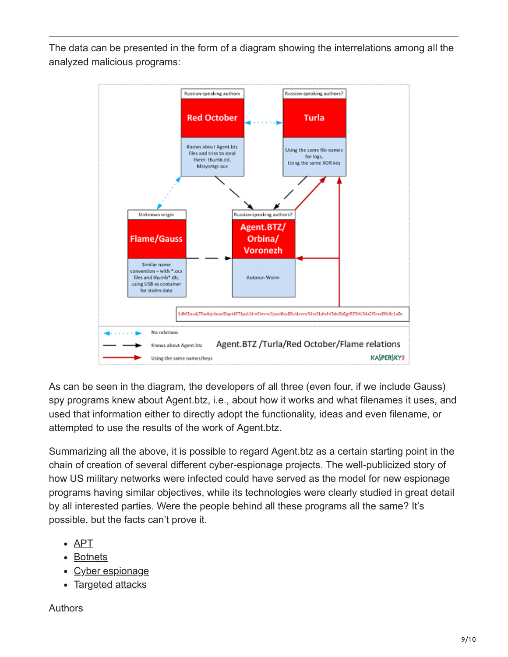The data can be presented in the form of a diagram showing the interrelations among all the analyzed malicious programs:



As can be seen in the diagram, the developers of all three (even four, if we include Gauss) spy programs knew about Agent.btz, i.e., about how it works and what filenames it uses, and used that information either to directly adopt the functionality, ideas and even filename, or attempted to use the results of the work of Agent.btz.

Summarizing all the above, it is possible to regard Agent.btz as a certain starting point in the chain of creation of several different cyber-espionage projects. The well-publicized story of how US military networks were infected could have served as the model for new espionage programs having similar objectives, while its technologies were clearly studied in great detail by all interested parties. Were the people behind all these programs all the same? It's possible, but the facts can't prove it.

- [APT](https://securelist.com/tag/apt/)
- [Botnets](https://securelist.com/tag/botnets/)
- [Cyber espionage](https://securelist.com/tag/cyber-espionage/)
- [Targeted attacks](https://securelist.com/tag/targeted-attacks/)

Authors